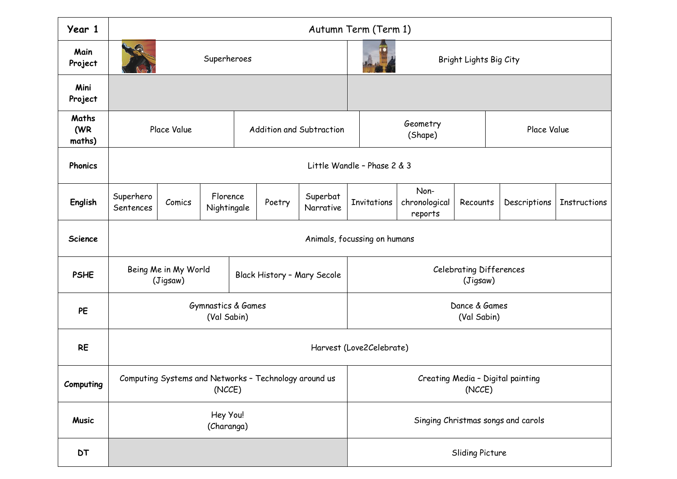| Year 1                 | Autumn Term (Term 1)                                            |        |                         |                             |        |                       |                                             |                                  |                 |              |                     |
|------------------------|-----------------------------------------------------------------|--------|-------------------------|-----------------------------|--------|-----------------------|---------------------------------------------|----------------------------------|-----------------|--------------|---------------------|
| Main<br>Project        | $\left($<br>Superheroes                                         |        |                         |                             |        |                       | Bright Lights Big City                      |                                  |                 |              |                     |
| Mini<br>Project        |                                                                 |        |                         |                             |        |                       |                                             |                                  |                 |              |                     |
| Maths<br>(WR<br>maths) | Place Value                                                     |        |                         | Addition and Subtraction    |        |                       | Geometry<br>(Shape)                         |                                  |                 | Place Value  |                     |
| Phonics                | Little Wandle - Phase 2 & 3                                     |        |                         |                             |        |                       |                                             |                                  |                 |              |                     |
| English                | Superhero<br>Sentences                                          | Comics | Florence<br>Nightingale |                             | Poetry | Superbat<br>Narrative | Invitations                                 | Non-<br>chronological<br>reports | Recounts        | Descriptions | <b>Instructions</b> |
| <b>Science</b>         | Animals, focussing on humans                                    |        |                         |                             |        |                       |                                             |                                  |                 |              |                     |
| <b>PSHE</b>            | Being Me in My World<br>(Jigsaw)                                |        |                         | Black History - Mary Secole |        |                       | <b>Celebrating Differences</b><br>(Jigsaw)  |                                  |                 |              |                     |
| PE                     | <b>Gymnastics &amp; Games</b><br>(Val Sabin)                    |        |                         |                             |        |                       | Dance & Games<br>(Val Sabin)                |                                  |                 |              |                     |
| <b>RE</b>              | Harvest (Love2Celebrate)                                        |        |                         |                             |        |                       |                                             |                                  |                 |              |                     |
| Computing              | Computing Systems and Networks - Technology around us<br>(NCCE) |        |                         |                             |        |                       | Creating Media - Digital painting<br>(NCCE) |                                  |                 |              |                     |
| <b>Music</b>           | Hey You!<br>(Charanga)                                          |        |                         |                             |        |                       | Singing Christmas songs and carols          |                                  |                 |              |                     |
| DT                     |                                                                 |        |                         |                             |        |                       |                                             |                                  | Sliding Picture |              |                     |